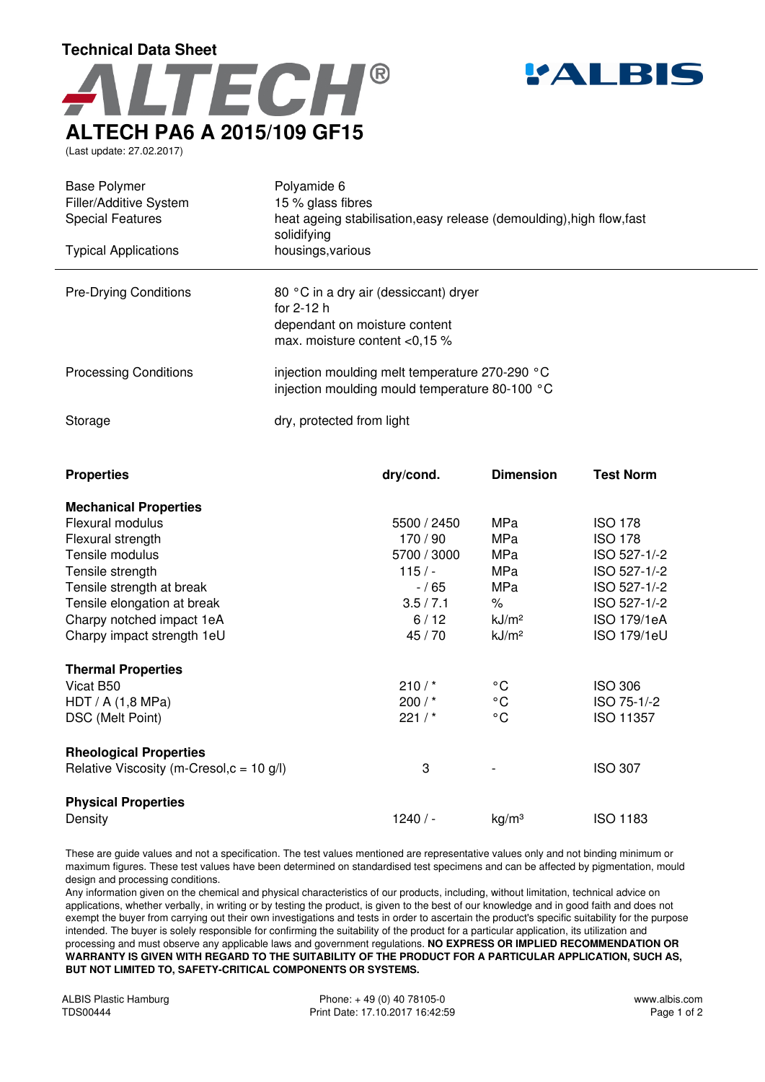## **Technical Data Sheet**





| <b>Base Polymer</b><br>Filler/Additive System<br><b>Special Features</b><br><b>Typical Applications</b> | Polyamide 6<br>15 % glass fibres<br>heat ageing stabilisation, easy release (demoulding), high flow, fast<br>solidifying<br>housings, various |
|---------------------------------------------------------------------------------------------------------|-----------------------------------------------------------------------------------------------------------------------------------------------|
| <b>Pre-Drying Conditions</b>                                                                            | 80 °C in a dry air (dessiccant) dryer<br>for $2-12$ h<br>dependant on moisture content<br>max. moisture content <0,15 %                       |
| <b>Processing Conditions</b>                                                                            | injection moulding melt temperature 270-290 °C<br>injection moulding mould temperature 80-100 °C                                              |
| Storage                                                                                                 | dry, protected from light                                                                                                                     |

| <b>Properties</b>                           | dry/cond.   | <b>Dimension</b>  | <b>Test Norm</b>   |
|---------------------------------------------|-------------|-------------------|--------------------|
| <b>Mechanical Properties</b>                |             |                   |                    |
| Flexural modulus                            | 5500 / 2450 | MPa               | <b>ISO 178</b>     |
| Flexural strength                           | 170 / 90    | MPa               | <b>ISO 178</b>     |
| Tensile modulus                             | 5700 / 3000 | MPa               | ISO 527-1/-2       |
| Tensile strength                            | $115/ -$    | MPa               | ISO 527-1/-2       |
| Tensile strength at break                   | $- / 65$    | <b>MPa</b>        | ISO 527-1/-2       |
| Tensile elongation at break                 | 3.5 / 7.1   | %                 | ISO 527-1/-2       |
| Charpy notched impact 1eA                   | 6/12        | kJ/m <sup>2</sup> | <b>ISO 179/1eA</b> |
| Charpy impact strength 1eU                  | 45/70       | kJ/m <sup>2</sup> | <b>ISO 179/1eU</b> |
| <b>Thermal Properties</b>                   |             |                   |                    |
| Vicat B50                                   | 210/        | °C                | <b>ISO 306</b>     |
| HDT / A $(1,8$ MPa)                         | $200/$ *    | °C                | ISO 75-1/-2        |
| DSC (Melt Point)                            | 221/        | $^{\circ}$ C      | ISO 11357          |
| <b>Rheological Properties</b>               |             |                   |                    |
| Relative Viscosity (m-Cresol, $c = 10$ g/l) | 3           |                   | <b>ISO 307</b>     |
| <b>Physical Properties</b>                  |             |                   |                    |
| Density                                     | $1240/ -$   | kg/m <sup>3</sup> | <b>ISO 1183</b>    |

These are guide values and not a specification. The test values mentioned are representative values only and not binding minimum or maximum figures. These test values have been determined on standardised test specimens and can be affected by pigmentation, mould design and processing conditions.

Any information given on the chemical and physical characteristics of our products, including, without limitation, technical advice on applications, whether verbally, in writing or by testing the product, is given to the best of our knowledge and in good faith and does not exempt the buyer from carrying out their own investigations and tests in order to ascertain the product's specific suitability for the purpose intended. The buyer is solely responsible for confirming the suitability of the product for a particular application, its utilization and processing and must observe any applicable laws and government regulations. **NO EXPRESS OR IMPLIED RECOMMENDATION OR WARRANTY IS GIVEN WITH REGARD TO THE SUITABILITY OF THE PRODUCT FOR A PARTICULAR APPLICATION, SUCH AS, BUT NOT LIMITED TO, SAFETY-CRITICAL COMPONENTS OR SYSTEMS.**